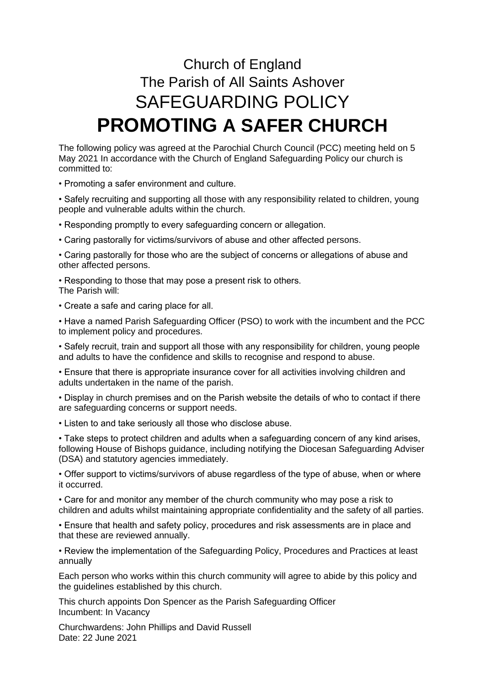## Church of England The Parish of All Saints Ashover SAFEGUARDING POLICY **PROMOTING A SAFER CHURCH**

The following policy was agreed at the Parochial Church Council (PCC) meeting held on 5 May 2021 In accordance with the Church of England Safeguarding Policy our church is committed to:

• Promoting a safer environment and culture.

• Safely recruiting and supporting all those with any responsibility related to children, young people and vulnerable adults within the church.

• Responding promptly to every safeguarding concern or allegation.

• Caring pastorally for victims/survivors of abuse and other affected persons.

• Caring pastorally for those who are the subject of concerns or allegations of abuse and other affected persons.

• Responding to those that may pose a present risk to others. The Parish will:

• Create a safe and caring place for all.

• Have a named Parish Safeguarding Officer (PSO) to work with the incumbent and the PCC to implement policy and procedures.

• Safely recruit, train and support all those with any responsibility for children, young people and adults to have the confidence and skills to recognise and respond to abuse.

• Ensure that there is appropriate insurance cover for all activities involving children and adults undertaken in the name of the parish.

• Display in church premises and on the Parish website the details of who to contact if there are safeguarding concerns or support needs.

• Listen to and take seriously all those who disclose abuse.

• Take steps to protect children and adults when a safeguarding concern of any kind arises, following House of Bishops guidance, including notifying the Diocesan Safeguarding Adviser (DSA) and statutory agencies immediately.

• Offer support to victims/survivors of abuse regardless of the type of abuse, when or where it occurred.

• Care for and monitor any member of the church community who may pose a risk to children and adults whilst maintaining appropriate confidentiality and the safety of all parties.

• Ensure that health and safety policy, procedures and risk assessments are in place and that these are reviewed annually.

• Review the implementation of the Safeguarding Policy, Procedures and Practices at least annually

Each person who works within this church community will agree to abide by this policy and the guidelines established by this church.

This church appoints Don Spencer as the Parish Safeguarding Officer Incumbent: In Vacancy

Churchwardens: John Phillips and David Russell Date: 22 June 2021